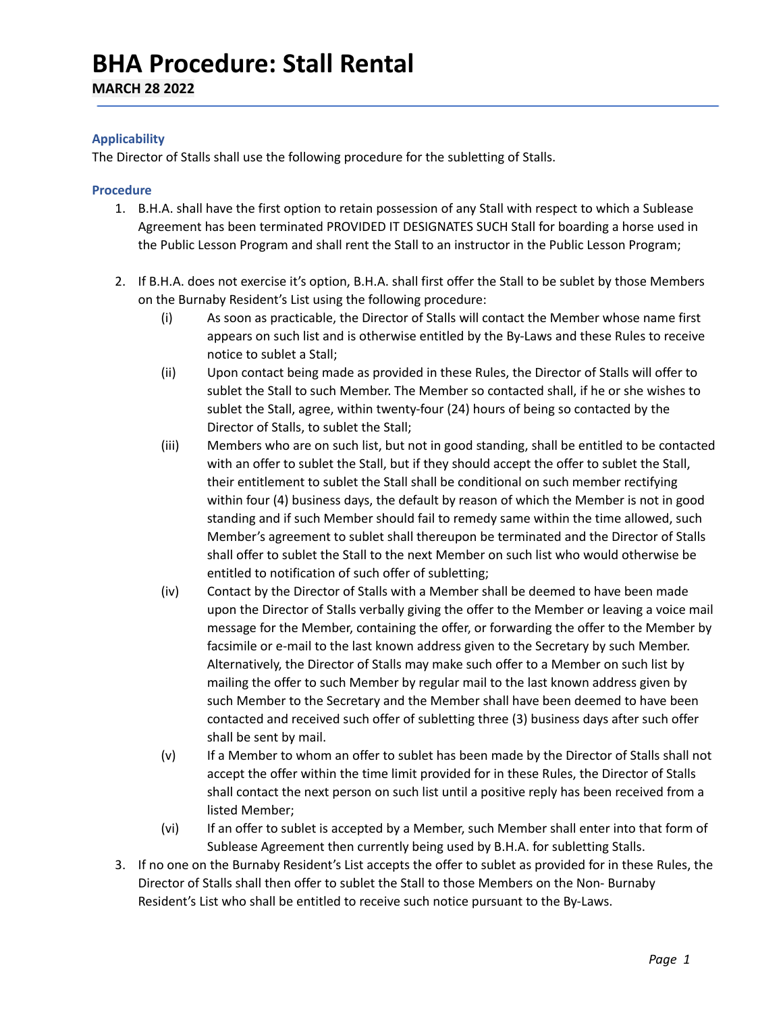## **BHA Procedure: Stall Rental**

**MARCH 28 2022**

## **Applicability**

The Director of Stalls shall use the following procedure for the subletting of Stalls.

## **Procedure**

- 1. B.H.A. shall have the first option to retain possession of any Stall with respect to which a Sublease Agreement has been terminated PROVIDED IT DESIGNATES SUCH Stall for boarding a horse used in the Public Lesson Program and shall rent the Stall to an instructor in the Public Lesson Program;
- 2. If B.H.A. does not exercise it's option, B.H.A. shall first offer the Stall to be sublet by those Members on the Burnaby Resident's List using the following procedure:
	- (i) As soon as practicable, the Director of Stalls will contact the Member whose name first appears on such list and is otherwise entitled by the By-Laws and these Rules to receive notice to sublet a Stall;
	- (ii) Upon contact being made as provided in these Rules, the Director of Stalls will offer to sublet the Stall to such Member. The Member so contacted shall, if he or she wishes to sublet the Stall, agree, within twenty-four (24) hours of being so contacted by the Director of Stalls, to sublet the Stall;
	- (iii) Members who are on such list, but not in good standing, shall be entitled to be contacted with an offer to sublet the Stall, but if they should accept the offer to sublet the Stall, their entitlement to sublet the Stall shall be conditional on such member rectifying within four (4) business days, the default by reason of which the Member is not in good standing and if such Member should fail to remedy same within the time allowed, such Member's agreement to sublet shall thereupon be terminated and the Director of Stalls shall offer to sublet the Stall to the next Member on such list who would otherwise be entitled to notification of such offer of subletting;
	- (iv) Contact by the Director of Stalls with a Member shall be deemed to have been made upon the Director of Stalls verbally giving the offer to the Member or leaving a voice mail message for the Member, containing the offer, or forwarding the offer to the Member by facsimile or e-mail to the last known address given to the Secretary by such Member. Alternatively, the Director of Stalls may make such offer to a Member on such list by mailing the offer to such Member by regular mail to the last known address given by such Member to the Secretary and the Member shall have been deemed to have been contacted and received such offer of subletting three (3) business days after such offer shall be sent by mail.
	- (v) If a Member to whom an offer to sublet has been made by the Director of Stalls shall not accept the offer within the time limit provided for in these Rules, the Director of Stalls shall contact the next person on such list until a positive reply has been received from a listed Member;
	- (vi) If an offer to sublet is accepted by a Member, such Member shall enter into that form of Sublease Agreement then currently being used by B.H.A. for subletting Stalls.
- 3. If no one on the Burnaby Resident's List accepts the offer to sublet as provided for in these Rules, the Director of Stalls shall then offer to sublet the Stall to those Members on the Non- Burnaby Resident's List who shall be entitled to receive such notice pursuant to the By-Laws.